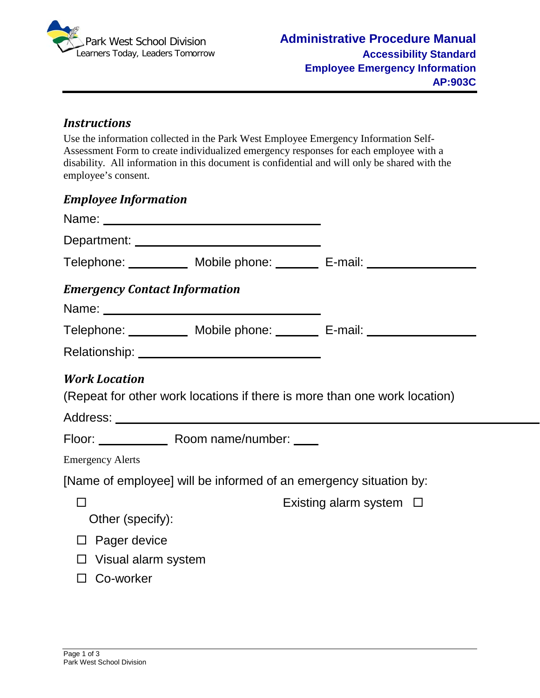

#### *Instructions*

Use the information collected in the Park West Employee Emergency Information Self-Assessment Form to create individualized emergency responses for each employee with a disability. All information in this document is confidential and will only be shared with the employee's consent.

| <b>Employee Information</b>          |                                               |                                                                                  |
|--------------------------------------|-----------------------------------------------|----------------------------------------------------------------------------------|
|                                      |                                               |                                                                                  |
|                                      | Department: _________________________________ |                                                                                  |
|                                      |                                               | Telephone: ____________ Mobile phone: ________ E-mail: _________________________ |
| <b>Emergency Contact Information</b> |                                               |                                                                                  |
|                                      |                                               | Telephone: ____________ Mobile phone: ________ E-mail: _________________________ |
|                                      |                                               |                                                                                  |
| <b>Work Location</b>                 |                                               | (Repeat for other work locations if there is more than one work location)        |
|                                      | Floor: Room name/number: ____                 |                                                                                  |
| <b>Emergency Alerts</b>              |                                               |                                                                                  |
|                                      |                                               | [Name of employee] will be informed of an emergency situation by:                |
|                                      |                                               | Existing alarm system $\Box$                                                     |
| Other (specify):                     |                                               |                                                                                  |
| Pager device                         |                                               |                                                                                  |
| Visual alarm system                  |                                               |                                                                                  |
| Co-worker                            |                                               |                                                                                  |
|                                      |                                               |                                                                                  |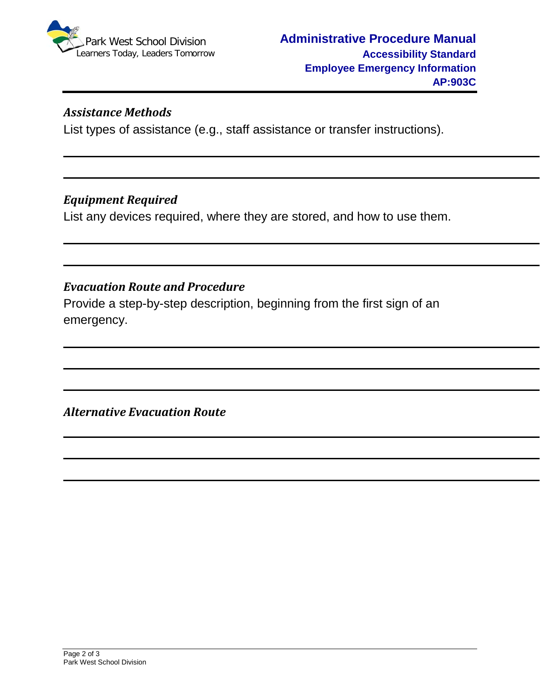

### *Assistance Methods*

List types of assistance (e.g., staff assistance or transfer instructions).

### *Equipment Required*

List any devices required, where they are stored, and how to use them.

# *Evacuation Route and Procedure*

Provide a step-by-step description, beginning from the first sign of an emergency.

*Alternative Evacuation Route*